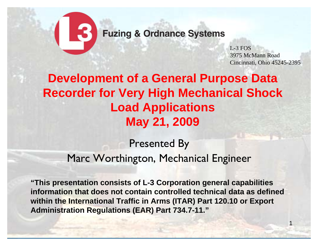

L-3 FOS3975 McMann RoadCincinnati, Ohio 45245-2395

## **Development of a General Purpose Data Recorder for Very High Mechanical Shock Load Applications May 21, 2009**

### Presented By Marc Worthington, Mechanical Engineer

**"This presentation consists of L-3 Corporation general capabilities information that does not contain controlled technical data as defined within the International Traffic in Arms (ITAR) Part 120.10 or Export Administration Regulations (EAR) Part 734.7-11."**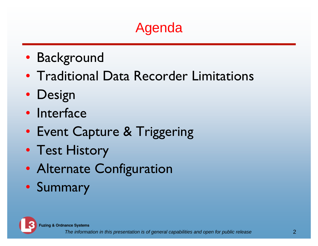## Agenda

- Background
- Traditional Data Recorder Limitations
- Design
- Interface
- Event Capture & Triggering
- Test History
- Alternate Configuration
- Summary

**Fuzing & Ordnance Systems**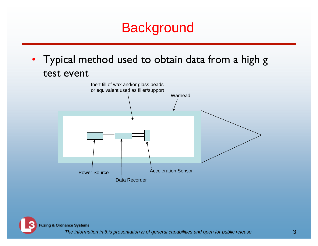## **Background**

• Typical method used to obtain data from a high g test event



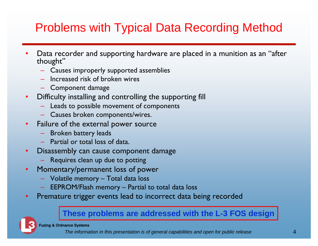## Problems with Typical Data Recording Method

- • Data recorder and supporting hardware are placed in a munition as an "after thought"
	- Causes improperly supported assemblies
	- Increased risk of broken wires
	- Component damage
- $\bullet$  Difficulty installing and controlling the supporting fill
	- Leads to possible movement of components
	- Causes broken components/wires.
- $\bullet$  Failure of the external power source
	- Broken battery leads
	- Partial or total loss of data.
- $\bullet$  Disassembly can cause component damage
	- Requires clean up due to potting
- $\bullet$  Momentary/permanent loss of power
	- Volatile memory Total data loss
	- EEPROM/Flash memory Partial to total data loss
- $\bullet$ Premature trigger events lead to incorrect data being recorded

#### **These problems are addressed with the L-3 FOS design**

**Fuzing & Ordnance Systems**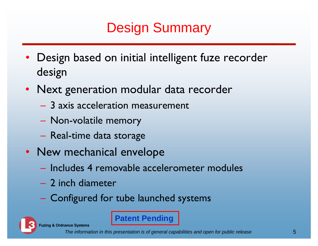# Design Summary

- Design based on initial intelligent fuze recorder design
- Next generation modular data recorder
	- 3 axis acceleration measurement
	- Non-volatile memory
	- Real-time data storage
- New mechanical envelope
	- Includes 4 removable accelerometer modules
	- 2 inch diameter
	- Configured for tube launched systems

**Fuzing & Ordnance Systems** 

**Patent Pending**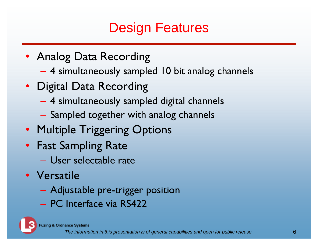## Design Features

- Analog Data Recording
	- 4 simultaneously sampled 10 bit analog channels
- Digital Data Recording
	- 4 simultaneously sampled digital channels
	- $-$  Sampled together with analog channels
- Multiple Triggering Options
- Fast Sampling Rate
	- User selectable rate
- Versatile
	- Adjustable pre-trigger position
	- PC Interface via RS422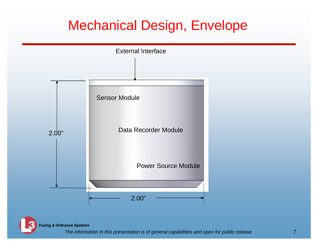## Mechanical Design, Envelope



**Fuzing & Ordnance Systems**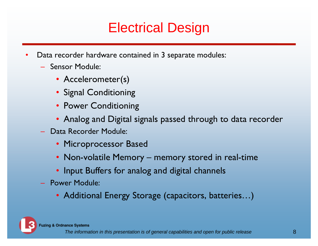## Electrical Design

- • Data recorder hardware contained in 3 separate modules:
	- Sensor Module:
		- Accelerometer(s)
		- Signal Conditioning
		- Power Conditioning
		- Analog and Digital signals passed through to data recorder
	- Data Recorder Module:
		- Microprocessor Based
		- Non-volatile Memory memory stored in real-time
		- Input Buffers for analog and digital channels
	- Power Module:
		- Additional Energy Storage (capacitors, batteries…)

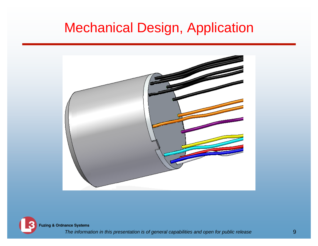## Mechanical Design, Application



**Fuzing & Ordnance Systems**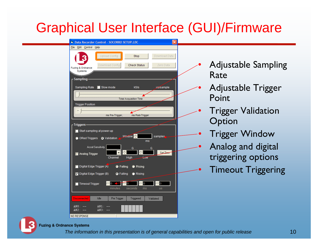## Graphical User Interface (GUI)/Firmware

| <b>B</b> Data Recorder Control - SOCORRO SETUP.LDC               |                       |                            |
|------------------------------------------------------------------|-----------------------|----------------------------|
| Eile<br>Edit Control Help                                        |                       |                            |
| Upload Config<br>Stop                                            | Download Data         |                            |
| Download Config<br><b>Check Status</b><br>Fuzing & Ordnance      | Zero Data             | <b>Adjustable Sampling</b> |
| Systems<br>- Sampling-                                           |                       | Rate                       |
| $\blacksquare$ Slow mode<br>kS/s<br>Sampling Rate                | us/sample             | <b>Adjustable Trigger</b>  |
| <b>Total Acquisition Time</b>                                    |                       | Point                      |
| <b>Trigger Position</b>                                          |                       | <b>Trigger Validation</b>  |
| ms Post-Trigger<br>ms Pre-Trigger,<br>∙Triggers∙                 |                       | Option                     |
| Start sampling at power-up                                       |                       |                            |
| <b>Window</b><br>O ORed Triggers O Validation                    | samples<br>ms         | <b>Trigger Window</b>      |
| <b>Accel Sensitivity</b><br>G                                    | G                     | Analog and digital         |
| $\overline{\phantom{a}}$<br>Analog Trigger<br>Channel<br>High    | SetZero<br>Low        | triggering options         |
| Digital Edge Trigger (A)<br><b>G</b> Falling<br>$\bullet$ Rising |                       | <b>Timeout Triggering</b>  |
| Digital Edge Trigger (B)<br><b>C</b> Rising<br><b>O</b> Falling  |                       |                            |
| Timeout Trigger<br>minutes<br>seconds                            | 10<br><b>us</b><br>ms |                            |
| <b>Disconnected</b><br>Idle<br>Pre Trigger<br>Triggered          | Validated             |                            |
| $AND:$ $--$<br>$AN1:$ $--$<br>$AN2:$ $--$<br>$AN3:$ $--$         |                       |                            |
| NO RESPONSE                                                      |                       |                            |



#### **Fuzing & Ordnance Systems**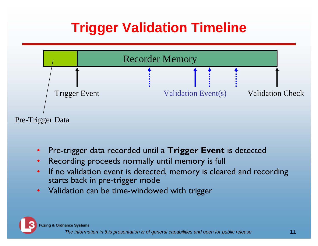## **Trigger Validation Timeline**



- •Pre-trigger data recorded until a **Trigger Event** is detected
- $\bullet$ Recording proceeds normally until memory is full
- • If no validation event is detected, memory is cleared and recording starts back in pre-trigger mode
- •Validation can be time-windowed with trigger

**Fuzing & Ordnance Systems**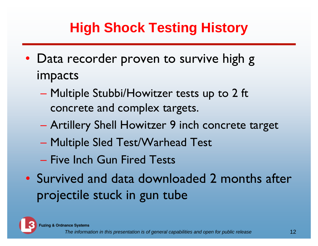# **High Shock Testing History**

- Data recorder proven to survive high g impacts
	- Multiple Stubbi/Howitzer tests up to 2 ft concrete and complex targets.
	- Artillery Shell Howitzer 9 inch concrete target
	- $\mathcal{L}_{\mathcal{A}}$  , and the set of the set of the set of the set of the set of the set of the set of the set of the set of the set of the set of the set of the set of the set of the set of the set of the set of the set of th Multiple Sled Test/Warhead Test
	- Five Inch Gun Fired Tests
- Survived and data downloaded 2 months after projectile stuck in gun tube

**Fuzing & Ordnance Systems**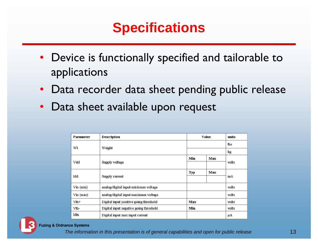## **Specifications**

- Device is functionally specified and tailorable to applications
- $\bullet$ Data recorder data sheet pending public release
- •Data sheet available upon request

| Parameter         | <b>Description</b>                     | Value |     | units      |
|-------------------|----------------------------------------|-------|-----|------------|
| W1                |                                        |       |     | <b>lbs</b> |
|                   | Weight                                 |       |     | kg         |
|                   |                                        | Min   | Max | volts      |
| Vdd               | Supply voltage                         |       |     |            |
|                   |                                        | Тур   | Max | mA         |
| Idd               | Supply current                         |       |     |            |
| $\nu$ in (min)    | analog/digital input minimum voltage   |       |     |            |
| $\nabla$ in (max) | analog/digital input maximum voltage   |       |     |            |
| $Vth+$            | Digital input positive going threshold | Max   |     | volts      |
| Vth-              | Digital input negative going threshold | Min   |     | volts      |
| Idin              | Digital input max input current        |       |     | μA         |



#### **Fuzing & Ordnance Systems**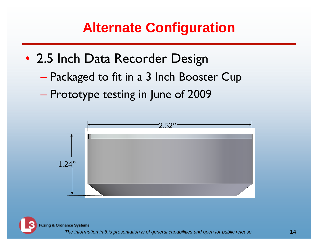## **Alternate Configuration**

- 2.5 Inch Data Recorder Design
	- Packaged to fit in a 3 Inch Booster Cup
	- $\mathcal{L}_{\mathcal{A}}$  , and the set of the set of the set of the set of the set of the set of the set of the set of the set of the set of the set of the set of the set of the set of the set of the set of the set of the set of th Prototype testing in June of 2009



**Fuzing & Ordnance Systems**